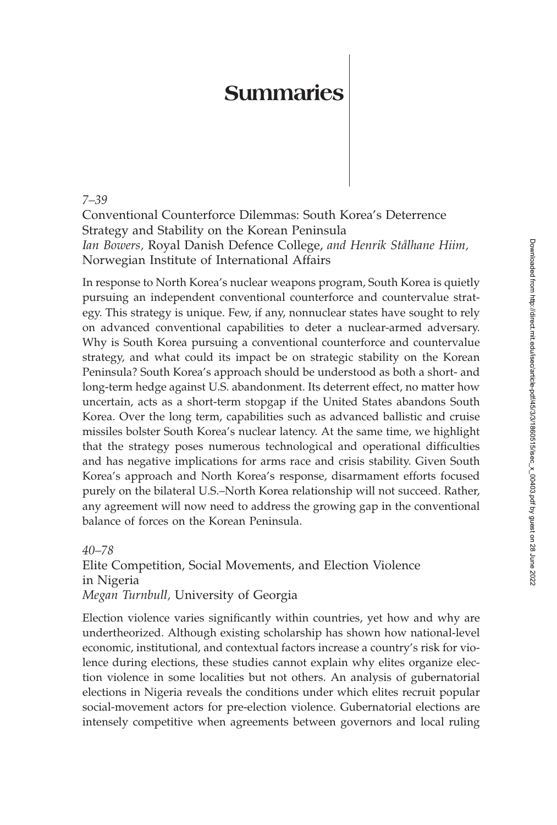## **Summaries**

*7–39*

Conventional Counterforce Dilemmas: South Korea's Deterrence Strategy and Stability on the Korean Peninsula *Ian Bowers,* Royal Danish Defence College, *and Henrik Stålhane Hiim,* Norwegian Institute of International Affairs

In response to North Korea's nuclear weapons program, South Korea is quietly pursuing an independent conventional counterforce and countervalue strategy. This strategy is unique. Few, if any, nonnuclear states have sought to rely on advanced conventional capabilities to deter a nuclear-armed adversary. Why is South Korea pursuing a conventional counterforce and countervalue strategy, and what could its impact be on strategic stability on the Korean Peninsula? South Korea's approach should be understood as both a short- and long-term hedge against U.S. abandonment. Its deterrent effect, no matter how uncertain, acts as a short-term stopgap if the United States abandons South Korea. Over the long term, capabilities such as advanced ballistic and cruise missiles bolster South Korea's nuclear latency. At the same time, we highlight that the strategy poses numerous technological and operational difficulties and has negative implications for arms race and crisis stability. Given South Korea's approach and North Korea's response, disarmament efforts focused purely on the bilateral U.S.–North Korea relationship will not succeed. Rather, any agreement will now need to address the growing gap in the conventional balance of forces on the Korean Peninsula.

*40–78* Elite Competition, Social Movements, and Election Violence in Nigeria *Megan Turnbull,* University of Georgia

Election violence varies significantly within countries, yet how and why are undertheorized. Although existing scholarship has shown how national-level economic, institutional, and contextual factors increase a country's risk for violence during elections, these studies cannot explain why elites organize election violence in some localities but not others. An analysis of gubernatorial elections in Nigeria reveals the conditions under which elites recruit popular social-movement actors for pre-election violence. Gubernatorial elections are intensely competitive when agreements between governors and local ruling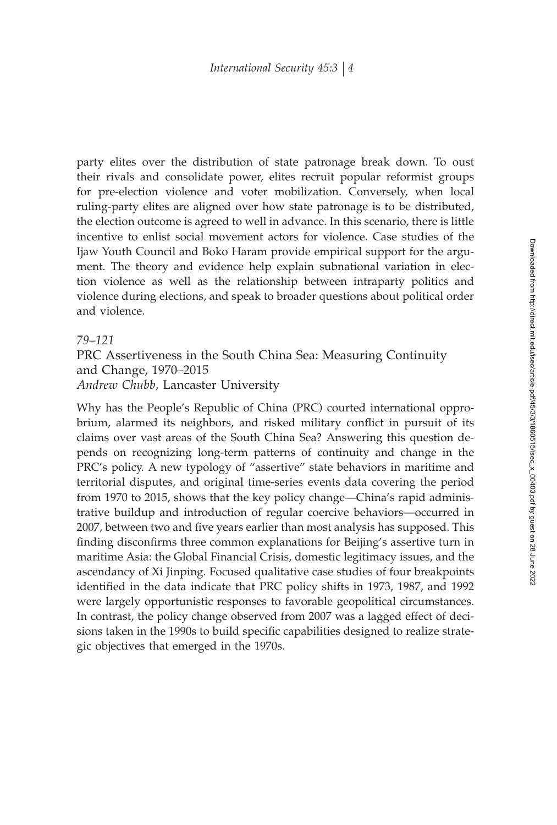party elites over the distribution of state patronage break down. To oust their rivals and consolidate power, elites recruit popular reformist groups for pre-election violence and voter mobilization. Conversely, when local ruling-party elites are aligned over how state patronage is to be distributed, the election outcome is agreed to well in advance. In this scenario, there is little incentive to enlist social movement actors for violence. Case studies of the Ijaw Youth Council and Boko Haram provide empirical support for the argument. The theory and evidence help explain subnational variation in election violence as well as the relationship between intraparty politics and violence during elections, and speak to broader questions about political order and violence.

## *79–121*

PRC Assertiveness in the South China Sea: Measuring Continuity and Change, 1970–2015 *Andrew Chubb,* Lancaster University

Why has the People's Republic of China (PRC) courted international opprobrium, alarmed its neighbors, and risked military conflict in pursuit of its claims over vast areas of the South China Sea? Answering this question depends on recognizing long-term patterns of continuity and change in the PRC's policy. A new typology of "assertive" state behaviors in maritime and territorial disputes, and original time-series events data covering the period from 1970 to 2015, shows that the key policy change—China's rapid administrative buildup and introduction of regular coercive behaviors—occurred in 2007, between two and five years earlier than most analysis has supposed. This finding disconfirms three common explanations for Beijing's assertive turn in maritime Asia: the Global Financial Crisis, domestic legitimacy issues, and the ascendancy of Xi Jinping. Focused qualitative case studies of four breakpoints identified in the data indicate that PRC policy shifts in 1973, 1987, and 1992 were largely opportunistic responses to favorable geopolitical circumstances. In contrast, the policy change observed from 2007 was a lagged effect of decisions taken in the 1990s to build specific capabilities designed to realize strategic objectives that emerged in the 1970s.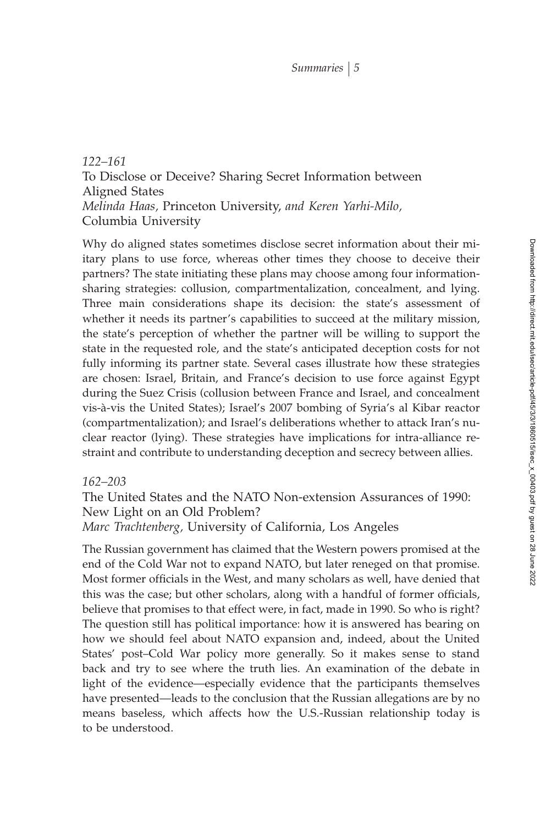*122–161* To Disclose or Deceive? Sharing Secret Information between Aligned States *Melinda Haas,* Princeton University, *and Keren Yarhi-Milo,* Columbia University

Why do aligned states sometimes disclose secret information about their miitary plans to use force, whereas other times they choose to deceive their partners? The state initiating these plans may choose among four informationsharing strategies: collusion, compartmentalization, concealment, and lying. Three main considerations shape its decision: the state's assessment of whether it needs its partner's capabilities to succeed at the military mission, the state's perception of whether the partner will be willing to support the state in the requested role, and the state's anticipated deception costs for not fully informing its partner state. Several cases illustrate how these strategies are chosen: Israel, Britain, and France's decision to use force against Egypt during the Suez Crisis (collusion between France and Israel, and concealment vis-à-vis the United States); Israel's 2007 bombing of Syria's al Kibar reactor (compartmentalization); and Israel's deliberations whether to attack Iran's nuclear reactor (lying). These strategies have implications for intra-alliance restraint and contribute to understanding deception and secrecy between allies.

## *162–203*

The United States and the NATO Non-extension Assurances of 1990: New Light on an Old Problem? *Marc Trachtenberg,* University of California, Los Angeles

The Russian government has claimed that the Western powers promised at the end of the Cold War not to expand NATO, but later reneged on that promise. Most former officials in the West, and many scholars as well, have denied that this was the case; but other scholars, along with a handful of former officials, believe that promises to that effect were, in fact, made in 1990. So who is right? The question still has political importance: how it is answered has bearing on how we should feel about NATO expansion and, indeed, about the United States' post–Cold War policy more generally. So it makes sense to stand back and try to see where the truth lies. An examination of the debate in light of the evidence—especially evidence that the participants themselves have presented—leads to the conclusion that the Russian allegations are by no means baseless, which affects how the U.S.-Russian relationship today is to be understood.